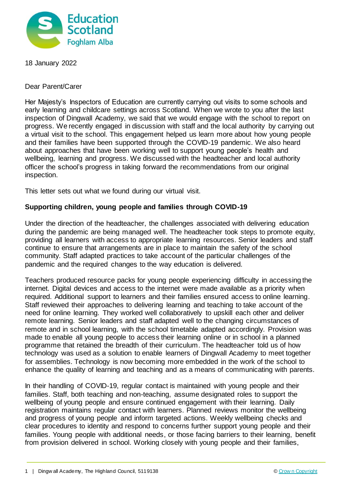

18 January 2022

Dear Parent/Carer

Her Majesty's Inspectors of Education are currently carrying out visits to some schools and early learning and childcare settings across Scotland. When we wrote to you after the last inspection of Dingwall Academy, we said that we would engage with the school to report on progress. We recently engaged in discussion with staff and the local authority by carrying out a virtual visit to the school. This engagement helped us learn more about how young people and their families have been supported through the COVID-19 pandemic. We also heard about approaches that have been working well to support young people's health and wellbeing, learning and progress. We discussed with the headteacher and local authority officer the school's progress in taking forward the recommendations from our original inspection.

This letter sets out what we found during our virtual visit.

## **Supporting children, young people and families through COVID-19**

Under the direction of the headteacher, the challenges associated with delivering education during the pandemic are being managed well. The headteacher took steps to promote equity, providing all learners with access to appropriate learning resources. Senior leaders and staff continue to ensure that arrangements are in place to maintain the safety of the school community. Staff adapted practices to take account of the particular challenges of the pandemic and the required changes to the way education is delivered.

Teachers produced resource packs for young people experiencing difficulty in accessing the internet. Digital devices and access to the internet were made available as a priority when required. Additional support to learners and their families ensured access to online learning. Staff reviewed their approaches to delivering learning and teaching to take account of the need for online learning. They worked well collaboratively to upskill each other and deliver remote learning. Senior leaders and staff adapted well to the changing circumstances of remote and in school learning, with the school timetable adapted accordingly. Provision was made to enable all young people to access their learning online or in school in a planned programme that retained the breadth of their curriculum. The headteacher told us of how technology was used as a solution to enable learners of Dingwall Academy to meet together for assemblies. Technology is now becoming more embedded in the work of the school to enhance the quality of learning and teaching and as a means of communicating with parents.

In their handling of COVID-19, regular contact is maintained with young people and their families. Staff, both teaching and non-teaching, assume designated roles to support the wellbeing of young people and ensure continued engagement with their learning. Daily registration maintains regular contact with learners. Planned reviews monitor the wellbeing and progress of young people and inform targeted actions. Weekly wellbeing checks and clear procedures to identity and respond to concerns further support young people and their families. Young people with additional needs, or those facing barriers to their learning, benefit from provision delivered in school. Working closely with young people and their families,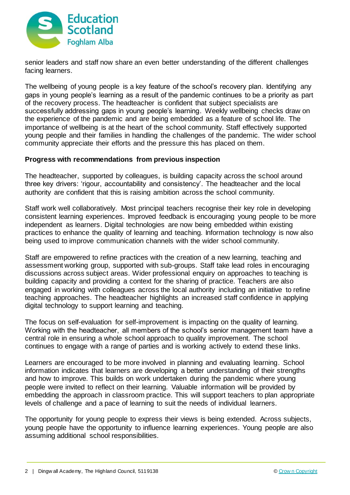

senior leaders and staff now share an even better understanding of the different challenges facing learners.

The wellbeing of young people is a key feature of the school's recovery plan. Identifying any gaps in young people's learning as a result of the pandemic continues to be a priority as part of the recovery process. The headteacher is confident that subject specialists are successfully addressing gaps in young people's learning. Weekly wellbeing checks draw on the experience of the pandemic and are being embedded as a feature of school life. The importance of wellbeing is at the heart of the school community. Staff effectively supported young people and their families in handling the challenges of the pandemic. The wider school community appreciate their efforts and the pressure this has placed on them.

## **Progress with recommendations from previous inspection**

The headteacher, supported by colleagues, is building capacity across the school around three key drivers: 'rigour, accountability and consistency'. The headteacher and the local authority are confident that this is raising ambition across the school community.

Staff work well collaboratively. Most principal teachers recognise their key role in developing consistent learning experiences. Improved feedback is encouraging young people to be more independent as learners. Digital technologies are now being embedded within existing practices to enhance the quality of learning and teaching. Information technology is now also being used to improve communication channels with the wider school community.

Staff are empowered to refine practices with the creation of a new learning, teaching and assessment working group, supported with sub-groups. Staff take lead roles in encouraging discussions across subject areas. Wider professional enquiry on approaches to teaching is building capacity and providing a context for the sharing of practice. Teachers are also engaged in working with colleagues across the local authority including an initiative to refine teaching approaches. The headteacher highlights an increased staff confidence in applying digital technology to support learning and teaching.

The focus on self-evaluation for self-improvement is impacting on the quality of learning. Working with the headteacher, all members of the school's senior management team have a central role in ensuring a whole school approach to quality improvement. The school continues to engage with a range of parties and is working actively to extend these links.

Learners are encouraged to be more involved in planning and evaluating learning. School information indicates that learners are developing a better understanding of their strengths and how to improve. This builds on work undertaken during the pandemic where young people were invited to reflect on their learning. Valuable information will be provided by embedding the approach in classroom practice. This will support teachers to plan appropriate levels of challenge and a pace of learning to suit the needs of individual learners.

The opportunity for young people to express their views is being extended. Across subjects, young people have the opportunity to influence learning experiences. Young people are also assuming additional school responsibilities.